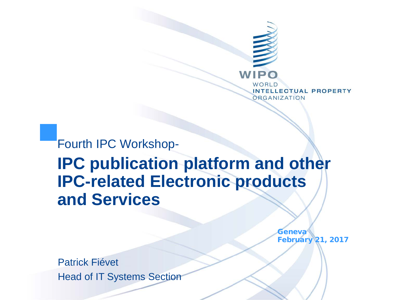

Fourth IPC Workshop-**IPC publication platform and other IPC-related Electronic products and Services**

> **Geneva** February 21, 2017

Patrick Fiévet Head of IT Systems Section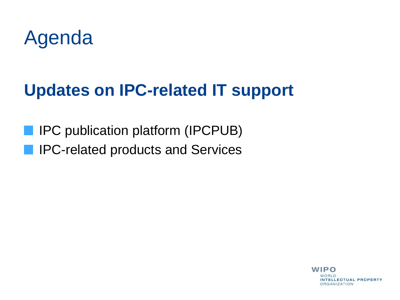

### **Updates on IPC-related IT support**

IPC publication platform (IPCPUB) **IFC-related products and Services** 

> **WIPO** WORLD. **INTELLECTUAL PROPERTY ORGANIZATION**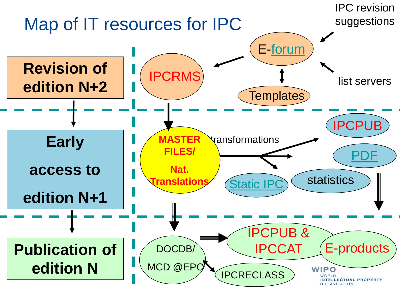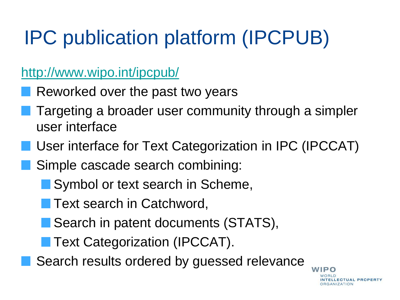#### <http://www.wipo.int/ipcpub/>

- Reworked over the past two years
- Targeting a broader user community through a simpler user interface
- User interface for Text Categorization in IPC (IPCCAT)
- Simple cascade search combining:
	- Symbol or text search in Scheme,
		- Text search in Catchword,
	- Search in patent documents (STATS),
	- **Text Categorization (IPCCAT).**
	- Search results ordered by guessed relevance

WIPO NTELLECTUAL PROPERTY **RGANIZATION**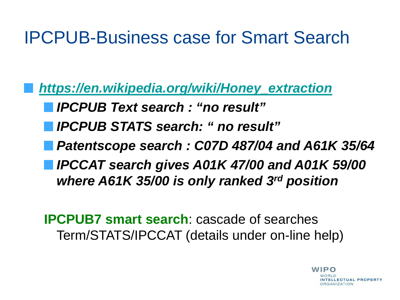### IPCPUB-Business case for Smart Search

*[https://en.wikipedia.org/wiki/Honey\\_extraction](https://en.wikipedia.org/wiki/Honey_extraction) IPCPUB Text search : "no result" IPCPUB STATS search: " no result" Patentscope search : C07D 487/04 and A61K 35/64 IPCCAT search gives A01K 47/00 and A01K 59/00 where A61K 35/00 is only ranked 3rd position*

**IPCPUB7 smart search**: cascade of searches Term/STATS/IPCCAT (details under on-line help)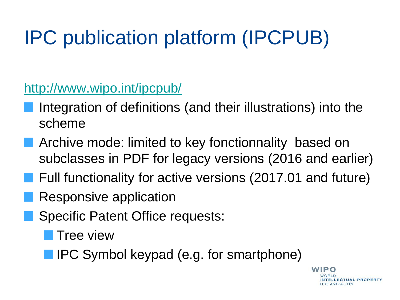<http://www.wipo.int/ipcpub/>

- Integration of definitions (and their illustrations) into the scheme
- Archive mode: limited to key fonctionnality based on subclasses in PDF for legacy versions (2016 and earlier)
- Full functionality for active versions (2017.01 and future)
- Responsive application
- Specific Patent Office requests:
	- Tree view
	- **IPC Symbol keypad (e.g. for smartphone)**

**WIPO ELLECTUAL PROPERTY RGANIZATION**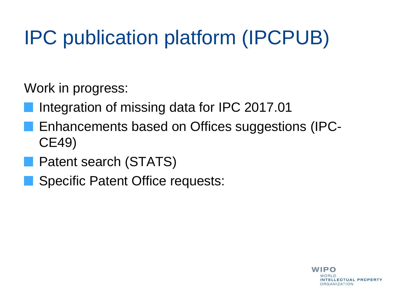Work in progress:

- Integration of missing data for IPC 2017.01
- Enhancements based on Offices suggestions (IPC-CE49)
- **Patent search (STATS)** 
	- Specific Patent Office requests: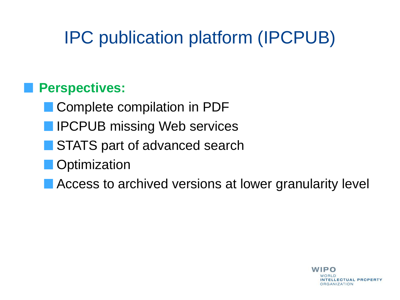#### **Perspectives:**

- Complete compilation in PDF
- **IFCPUB missing Web services**
- **STATS part of advanced search**
- **Optimization**
- Access to archived versions at lower granularity level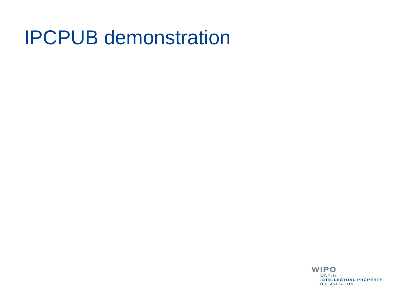### IPCPUB demonstration

**WIPO** WORLD INTELLECTUAL PROPERTY ORGANIZATION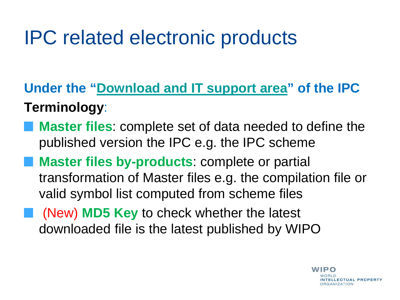## IPC related electronic products

**Under the "[Download and IT support area](http://www.wipo.int/classifications/ipc/en/ITsupport/)" of the IPC Terminology**:

- **Master files**: complete set of data needed to define the published version the IPC e.g. the IPC scheme
- **Master files by-products**: complete or partial transformation of Master files e.g. the compilation file or valid symbol list computed from scheme files
- **Number 19 ND5 Key to check whether the latest** downloaded file is the latest published by WIPO

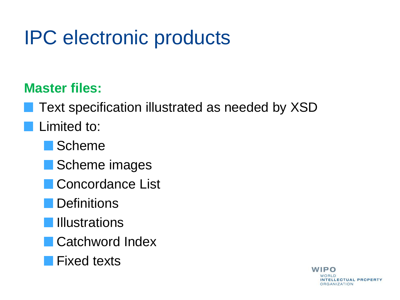## IPC electronic products

### **Master files:**

Text specification illustrated as needed by XSD

### Limited to:

**Scheme** 

- Scheme images
- **Concordance List**
- **Definitions**
- **Illustrations**
- **Catchword Index**
- **Fixed texts**

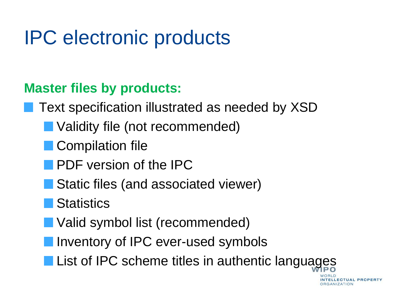## IPC electronic products

### **Master files by products:**

Text specification illustrated as needed by XSD

- Validity file (not recommended)
- **Compilation file** 
	- PDF version of the IPC
- Static files (and associated viewer)
- Statistics
- Valid symbol list (recommended)
- Inventory of IPC ever-used symbols
- **List of IPC scheme titles in authentic languages**

**ELLECTUAL PROPERTY RGANIZATION**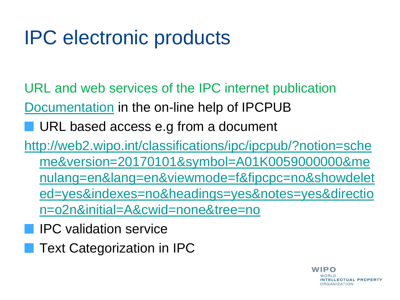## IPC electronic products

- URL and web services of the IPC internet publication [Documentation](http://www.wipo.int/ipc/itos4ipc/ITSupport_and_download_area/Documentation/IPC_Internet_URL_Web_Services_specification/IPC_Internet_Publication_URLs_and_Services_V7.0.pdf) in the on-line help of IPCPUB
	- URL based access e.g from a document
- [http://web2.wipo.int/classifications/ipc/ipcpub/?notion=sche](http://web2.wipo.int/classifications/ipc/ipcpub/?notion=scheme&version=20170101&symbol=A01K0059000000&menulang=en&lang=en&viewmode=f&fipcpc=no&showdeleted=yes&indexes=no&headings=yes¬es=yes&direction=o2n&initial=A&cwid=none&tree=no) [me&version=20170101&symbol=A01K0059000000&me](http://web2.wipo.int/classifications/ipc/ipcpub/?notion=scheme&version=20170101&symbol=A01K0059000000&menulang=en&lang=en&viewmode=f&fipcpc=no&showdeleted=yes&indexes=no&headings=yes¬es=yes&direction=o2n&initial=A&cwid=none&tree=no) [nulang=en&lang=en&viewmode=f&fipcpc=no&showdelet](http://web2.wipo.int/classifications/ipc/ipcpub/?notion=scheme&version=20170101&symbol=A01K0059000000&menulang=en&lang=en&viewmode=f&fipcpc=no&showdeleted=yes&indexes=no&headings=yes¬es=yes&direction=o2n&initial=A&cwid=none&tree=no) [ed=yes&indexes=no&headings=yes&notes=yes&directio](http://web2.wipo.int/classifications/ipc/ipcpub/?notion=scheme&version=20170101&symbol=A01K0059000000&menulang=en&lang=en&viewmode=f&fipcpc=no&showdeleted=yes&indexes=no&headings=yes¬es=yes&direction=o2n&initial=A&cwid=none&tree=no) [n=o2n&initial=A&cwid=none&tree=no](http://web2.wipo.int/classifications/ipc/ipcpub/?notion=scheme&version=20170101&symbol=A01K0059000000&menulang=en&lang=en&viewmode=f&fipcpc=no&showdeleted=yes&indexes=no&headings=yes¬es=yes&direction=o2n&initial=A&cwid=none&tree=no) 
	- IPC validation service
	- Text Categorization in IPC

**WIPO** NTELLECTUAL PROPERTY **DRGANIZATION**